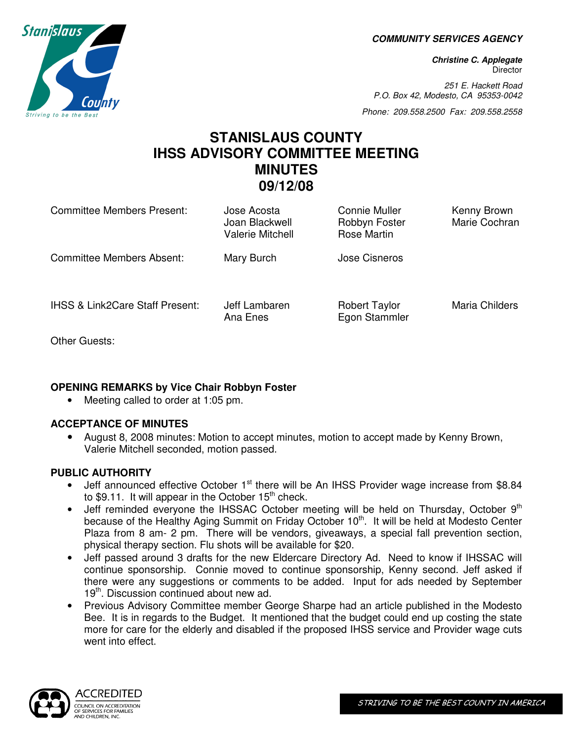**COMMUNITY SERVICES AGENCY** 

**Christine C. Applegate Director** 

251 E. Hackett Road P.O. Box 42, Modesto, CA 95353-0042

Phone: 209.558.2500 Fax: 209.558.2558

# **STANISLAUS COUNTY IHSS ADVISORY COMMITTEE MEETING MINUTES 09/12/08**

| <b>Committee Members Present:</b>          | Jose Acosta<br>Joan Blackwell<br><b>Valerie Mitchell</b> | Connie Muller<br>Robbyn Foster<br>Rose Martin | Kenny Brown<br>Marie Cochran |
|--------------------------------------------|----------------------------------------------------------|-----------------------------------------------|------------------------------|
| <b>Committee Members Absent:</b>           | Mary Burch                                               | Jose Cisneros                                 |                              |
| <b>IHSS &amp; Link2Care Staff Present:</b> | Jeff Lambaren<br>Ana Enes                                | <b>Robert Taylor</b><br>Egon Stammler         | Maria Childers               |

Other Guests:

# **OPENING REMARKS by Vice Chair Robbyn Foster**

• Meeting called to order at 1:05 pm.

# **ACCEPTANCE OF MINUTES**

• August 8, 2008 minutes: Motion to accept minutes, motion to accept made by Kenny Brown, Valerie Mitchell seconded, motion passed.

# **PUBLIC AUTHORITY**

- Jeff announced effective October  $1<sup>st</sup>$  there will be An IHSS Provider wage increase from \$8.84 to \$9.11. It will appear in the October  $15<sup>th</sup>$  check.
- Jeff reminded everyone the IHSSAC October meeting will be held on Thursday, October  $9<sup>th</sup>$ because of the Healthy Aging Summit on Friday October 10<sup>th</sup>. It will be held at Modesto Center Plaza from 8 am- 2 pm. There will be vendors, giveaways, a special fall prevention section, physical therapy section. Flu shots will be available for \$20.
- Jeff passed around 3 drafts for the new Eldercare Directory Ad. Need to know if IHSSAC will continue sponsorship. Connie moved to continue sponsorship, Kenny second. Jeff asked if there were any suggestions or comments to be added. Input for ads needed by September 19<sup>th</sup>. Discussion continued about new ad.
- Previous Advisory Committee member George Sharpe had an article published in the Modesto Bee. It is in regards to the Budget. It mentioned that the budget could end up costing the state more for care for the elderly and disabled if the proposed IHSS service and Provider wage cuts went into effect.



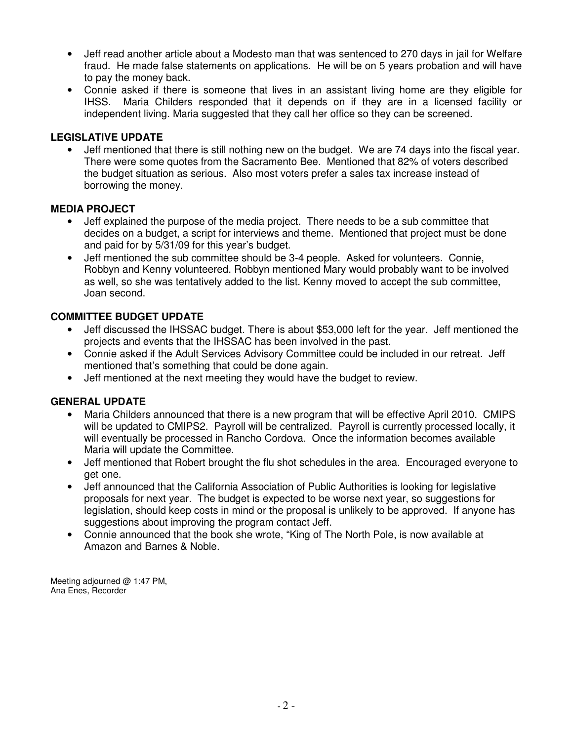- Jeff read another article about a Modesto man that was sentenced to 270 days in jail for Welfare fraud. He made false statements on applications. He will be on 5 years probation and will have to pay the money back.
- Connie asked if there is someone that lives in an assistant living home are they eligible for IHSS. Maria Childers responded that it depends on if they are in a licensed facility or independent living. Maria suggested that they call her office so they can be screened.

## **LEGISLATIVE UPDATE**

• Jeff mentioned that there is still nothing new on the budget. We are 74 days into the fiscal year. There were some quotes from the Sacramento Bee. Mentioned that 82% of voters described the budget situation as serious. Also most voters prefer a sales tax increase instead of borrowing the money.

### **MEDIA PROJECT**

- Jeff explained the purpose of the media project. There needs to be a sub committee that decides on a budget, a script for interviews and theme. Mentioned that project must be done and paid for by 5/31/09 for this year's budget.
- Jeff mentioned the sub committee should be 3-4 people. Asked for volunteers. Connie, Robbyn and Kenny volunteered. Robbyn mentioned Mary would probably want to be involved as well, so she was tentatively added to the list. Kenny moved to accept the sub committee, Joan second.

### **COMMITTEE BUDGET UPDATE**

- Jeff discussed the IHSSAC budget. There is about \$53,000 left for the year. Jeff mentioned the projects and events that the IHSSAC has been involved in the past.
- Connie asked if the Adult Services Advisory Committee could be included in our retreat. Jeff mentioned that's something that could be done again.
- Jeff mentioned at the next meeting they would have the budget to review.

### **GENERAL UPDATE**

- Maria Childers announced that there is a new program that will be effective April 2010. CMIPS will be updated to CMIPS2. Payroll will be centralized. Payroll is currently processed locally, it will eventually be processed in Rancho Cordova. Once the information becomes available Maria will update the Committee.
- Jeff mentioned that Robert brought the flu shot schedules in the area. Encouraged everyone to get one.
- Jeff announced that the California Association of Public Authorities is looking for legislative proposals for next year. The budget is expected to be worse next year, so suggestions for legislation, should keep costs in mind or the proposal is unlikely to be approved. If anyone has suggestions about improving the program contact Jeff.
- Connie announced that the book she wrote, "King of The North Pole, is now available at Amazon and Barnes & Noble.

Meeting adjourned @ 1:47 PM, Ana Enes, Recorder